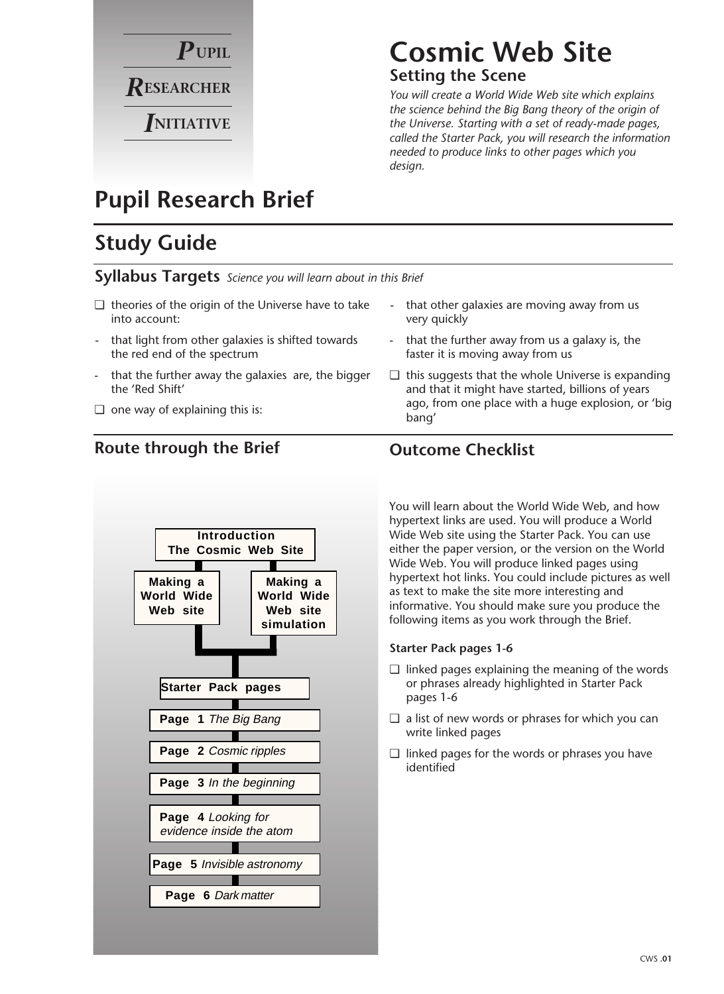

# **Cosmic Web Site**

#### **Setting the Scene**

*You will create a World Wide Web site which explains the science behind the Big Bang theory of the origin of the Universe. Starting with a set of ready-made pages, called the Starter Pack, you will research the information needed to produce links to other pages which you design.*

# **Pupil Research Brief**

# **Study Guide**

**Syllabus Targets** *Science you will learn about in this Brief*

- ❏ theories of the origin of the Universe have to take into account:
- that light from other galaxies is shifted towards the red end of the spectrum
- that the further away the galaxies are, the bigger the 'Red Shift'
- ❏ one way of explaining this is:

#### **Route through the Brief Outcome Checklist**



- that other galaxies are moving away from us very quickly
- that the further away from us a galaxy is, the faster it is moving away from us
- ❏ this suggests that the whole Universe is expanding and that it might have started, billions of years ago, from one place with a huge explosion, or 'big bang'

You will learn about the World Wide Web, and how hypertext links are used. You will produce a World Wide Web site using the Starter Pack. You can use either the paper version, or the version on the World Wide Web. You will produce linked pages using hypertext hot links. You could include pictures as well as text to make the site more interesting and informative. You should make sure you produce the following items as you work through the Brief.

#### **Starter Pack pages 1-6**

- ❏ linked pages explaining the meaning of the words or phrases already highlighted in Starter Pack pages 1-6
- ❏ a list of new words or phrases for which you can write linked pages
- ❏ linked pages for the words or phrases you have identified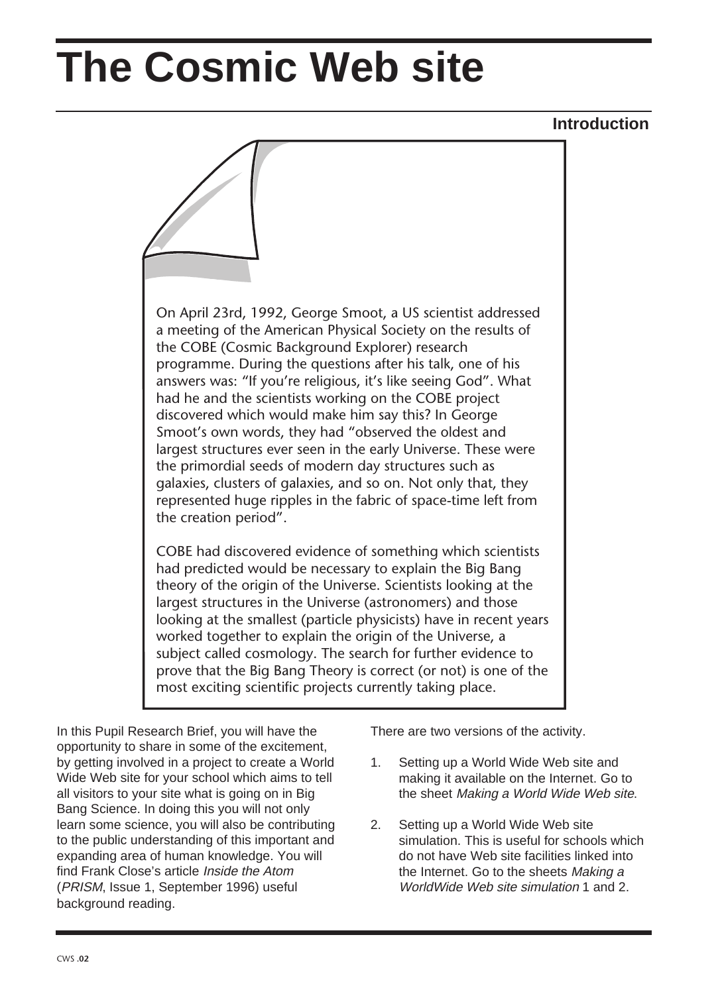# **The Cosmic Web site**



In this Pupil Research Brief, you will have the opportunity to share in some of the excitement, by getting involved in a project to create a World Wide Web site for your school which aims to tell all visitors to your site what is going on in Big Bang Science. In doing this you will not only learn some science, you will also be contributing to the public understanding of this important and expanding area of human knowledge. You will find Frank Close's article Inside the Atom (PRISM, Issue 1, September 1996) useful background reading.

There are two versions of the activity.

- 1. Setting up a World Wide Web site and making it available on the Internet. Go to the sheet Making a World Wide Web site.
- 2. Setting up a World Wide Web site simulation. This is useful for schools which do not have Web site facilities linked into the Internet. Go to the sheets Making a WorldWide Web site simulation 1 and 2.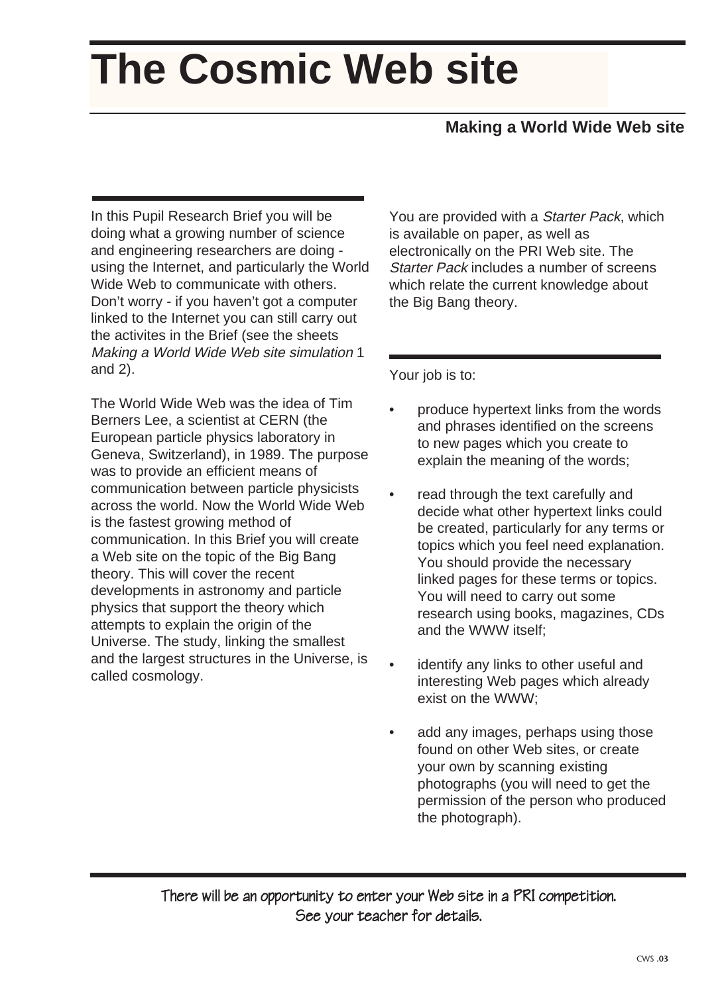# **The Cosmic Web site**

### **Making a World Wide Web site**

In this Pupil Research Brief you will be doing what a growing number of science and engineering researchers are doing using the Internet, and particularly the World Wide Web to communicate with others. Don't worry - if you haven't got a computer linked to the Internet you can still carry out the activites in the Brief (see the sheets Making a World Wide Web site simulation 1 and 2).

The World Wide Web was the idea of Tim Berners Lee, a scientist at CERN (the European particle physics laboratory in Geneva, Switzerland), in 1989. The purpose was to provide an efficient means of communication between particle physicists across the world. Now the World Wide Web is the fastest growing method of communication. In this Brief you will create a Web site on the topic of the Big Bang theory. This will cover the recent developments in astronomy and particle physics that support the theory which attempts to explain the origin of the Universe. The study, linking the smallest and the largest structures in the Universe, is called cosmology.

You are provided with a Starter Pack, which is available on paper, as well as electronically on the PRI Web site. The Starter Pack includes a number of screens which relate the current knowledge about the Big Bang theory.

Your job is to:

- produce hypertext links from the words and phrases identified on the screens to new pages which you create to explain the meaning of the words;
- read through the text carefully and decide what other hypertext links could be created, particularly for any terms or topics which you feel need explanation. You should provide the necessary linked pages for these terms or topics. You will need to carry out some research using books, magazines, CDs and the WWW itself;
- identify any links to other useful and interesting Web pages which already exist on the WWW;
- add any images, perhaps using those found on other Web sites, or create your own by scanning existing photographs (you will need to get the permission of the person who produced the photograph).

There will be an opportunity to enter your Web site in a PRI competition. See your teacher for details.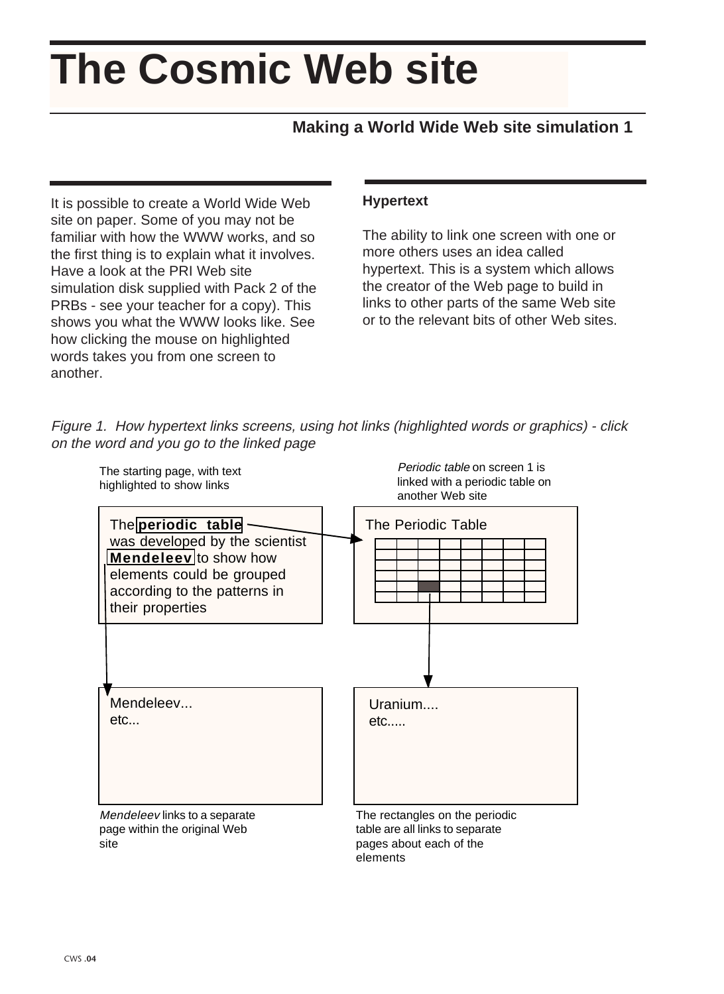# **The Cosmic Web site**

#### **Making a World Wide Web site simulation 1**

It is possible to create a World Wide Web site on paper. Some of you may not be familiar with how the WWW works, and so the first thing is to explain what it involves. Have a look at the PRI Web site simulation disk supplied with Pack 2 of the PRBs - see your teacher for a copy). This shows you what the WWW looks like. See how clicking the mouse on highlighted words takes you from one screen to another.

CWS **.04**

#### **Hypertext**

The ability to link one screen with one or more others uses an idea called hypertext. This is a system which allows the creator of the Web page to build in links to other parts of the same Web site or to the relevant bits of other Web sites.





elements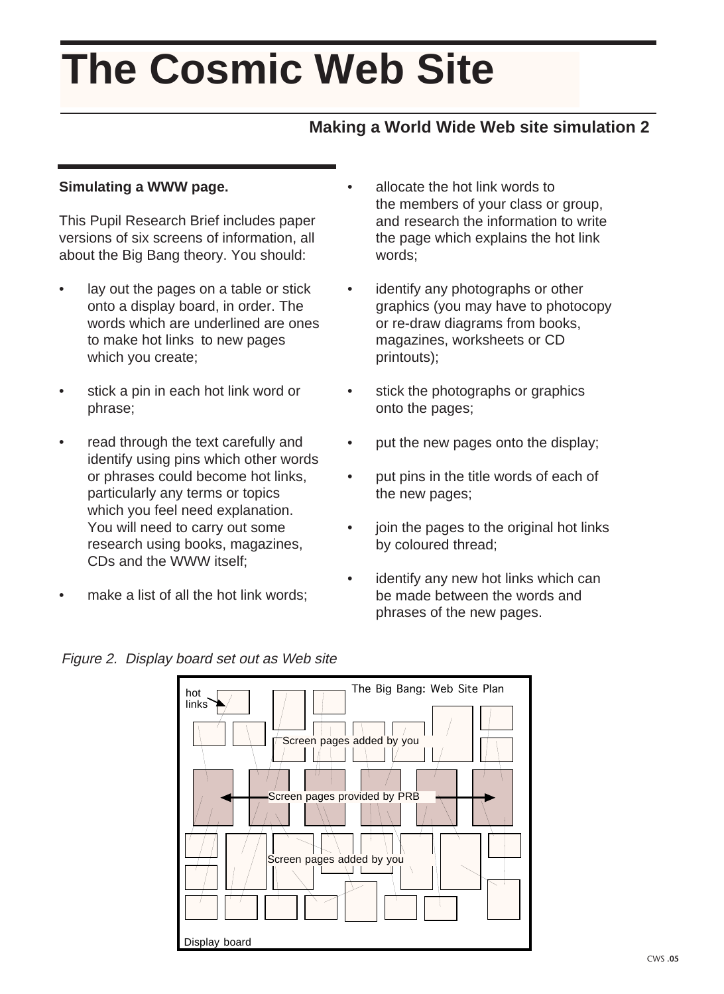# **The Cosmic Web Site**

#### **Making a World Wide Web site simulation 2**

#### **Simulating a WWW page.**

This Pupil Research Brief includes paper versions of six screens of information, all about the Big Bang theory. You should:

- lay out the pages on a table or stick onto a display board, in order. The words which are underlined are ones to make hot links to new pages which you create;
- stick a pin in each hot link word or phrase;
- read through the text carefully and identify using pins which other words or phrases could become hot links, particularly any terms or topics which you feel need explanation. You will need to carry out some research using books, magazines, CDs and the WWW itself;
- make a list of all the hot link words:
- allocate the hot link words to the members of your class or group, and research the information to write the page which explains the hot link words;
- identify any photographs or other graphics (you may have to photocopy or re-draw diagrams from books, magazines, worksheets or CD printouts);
- stick the photographs or graphics onto the pages;
- put the new pages onto the display;
- put pins in the title words of each of the new pages;
- join the pages to the original hot links by coloured thread;
- identify any new hot links which can be made between the words and phrases of the new pages.

Figure 2. Display board set out as Web site

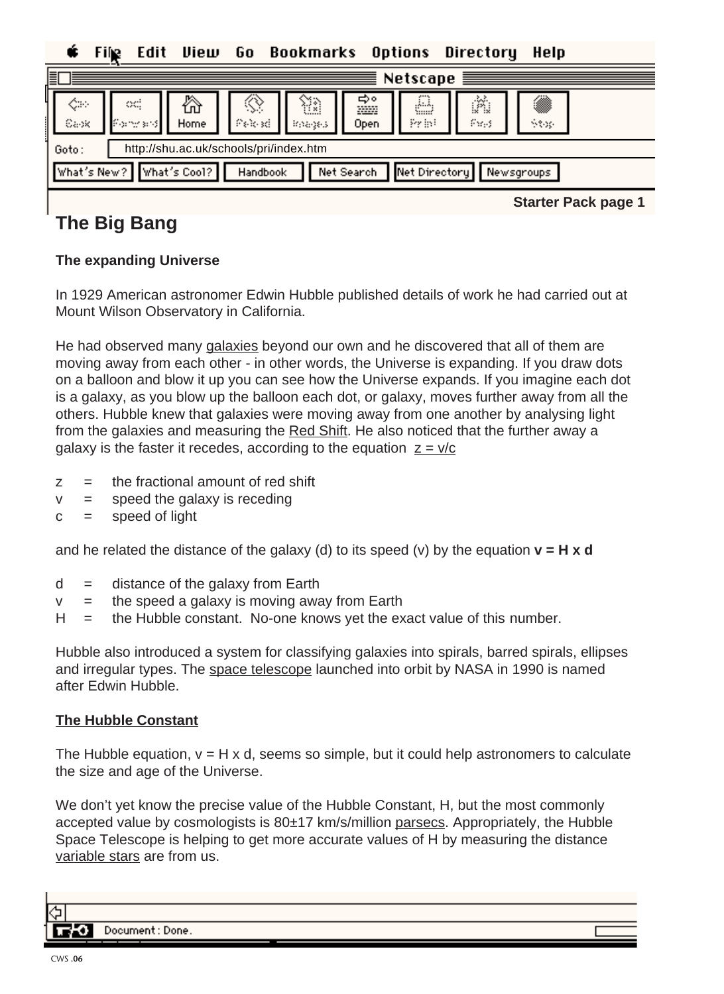Edit View 6o **Bookmarks Options** Directory Help Fil

| 圁        | Netscape $\equiv$                                                                                                                          |  |  |  |  |  |  |  |  |  |  |
|----------|--------------------------------------------------------------------------------------------------------------------------------------------|--|--|--|--|--|--|--|--|--|--|
| ⇔<br>Sax | A<br>⋒<br>⚠<br>ŵ<br>⇔∘<br>₩<br>∾<br>œ.<br>pop<br>r Formandt,<br>Fuels<br>$P$ and $P$<br>Print<br>Home<br>Open<br>Stop-<br><b>Broadcast</b> |  |  |  |  |  |  |  |  |  |  |
| Goto:    | http://shu.ac.uk/schools/pri/index.htm                                                                                                     |  |  |  |  |  |  |  |  |  |  |
|          | What's Cool?<br>What's New?<br>Net Directory<br>Net Search<br>Handbook<br>Newsgroups                                                       |  |  |  |  |  |  |  |  |  |  |

**The Big Bang**

**Starter Pack page 1**

#### **The expanding Universe**

In 1929 American astronomer Edwin Hubble published details of work he had carried out at Mount Wilson Observatory in California.

He had observed many galaxies beyond our own and he discovered that all of them are moving away from each other - in other words, the Universe is expanding. If you draw dots on a balloon and blow it up you can see how the Universe expands. If you imagine each dot is a galaxy, as you blow up the balloon each dot, or galaxy, moves further away from all the others. Hubble knew that galaxies were moving away from one another by analysing light from the galaxies and measuring the Red Shift. He also noticed that the further away a galaxy is the faster it recedes, according to the equation  $z = v/c$ 

- $z =$  the fractional amount of red shift
- $v =$  speed the galaxy is receding
- $c =$  speed of light

and he related the distance of the galaxy (d) to its speed (v) by the equation  $v = H x d$ 

- $d =$  distance of the galaxy from Earth
- $v =$  the speed a galaxy is moving away from Earth
- $H =$  the Hubble constant. No-one knows yet the exact value of this number.

Hubble also introduced a system for classifying galaxies into spirals, barred spirals, ellipses and irregular types. The space telescope launched into orbit by NASA in 1990 is named after Edwin Hubble.

#### **The Hubble Constant**

The Hubble equation,  $v = H \times d$ , seems so simple, but it could help astronomers to calculate the size and age of the Universe.

We don't yet know the precise value of the Hubble Constant, H, but the most commonly accepted value by cosmologists is 80±17 km/s/million parsecs. Appropriately, the Hubble Space Telescope is helping to get more accurate values of H by measuring the distance variable stars are from us.

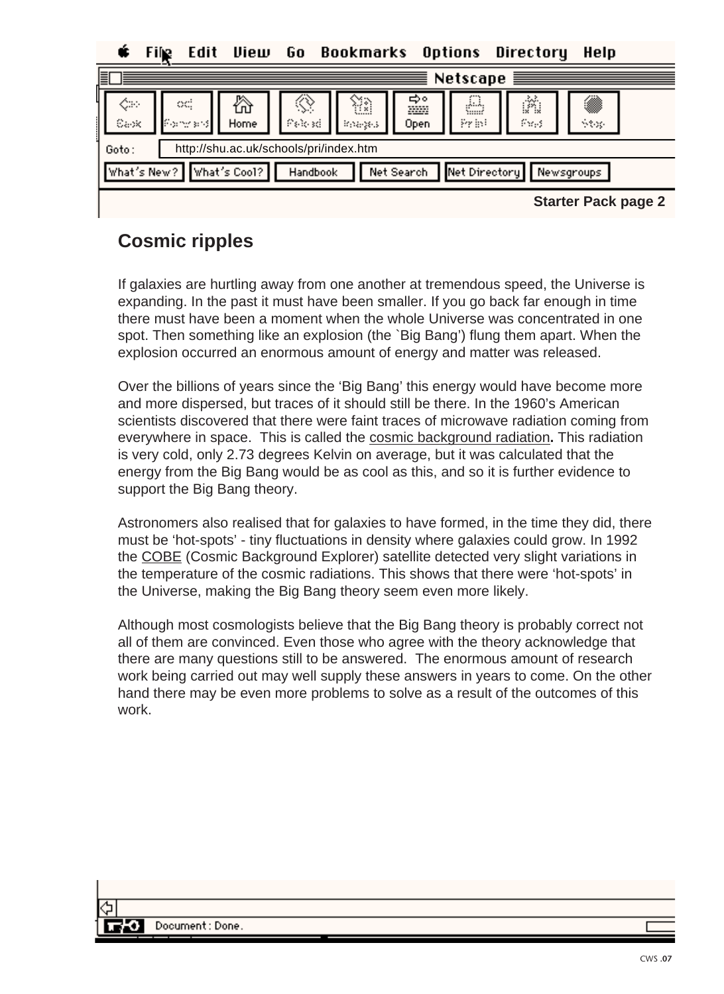Edit View Go. Bookmarks Options Directory Helo File

| 冒                         | Netscape $\equiv$                                                                                                                        |  |  |  |  |  |  |  |  |
|---------------------------|------------------------------------------------------------------------------------------------------------------------------------------|--|--|--|--|--|--|--|--|
| ⇔<br>$\parallel$<br>Carlo | ◈<br>A<br>▒<br>☆<br>ŵ<br>⇔∘<br>₩<br>œ<br>m<br>Pelosti<br><b>If one shall</b><br>Print<br>Pays<br>Home<br>See.<br>Open<br><b>Broadway</b> |  |  |  |  |  |  |  |  |
| Goto:                     | http://shu.ac.uk/schools/pri/index.htm                                                                                                   |  |  |  |  |  |  |  |  |
|                           | What's New? What's Cool?<br>Net Directory<br>Net Search<br>Handbook<br>Newsgroups                                                        |  |  |  |  |  |  |  |  |

**Starter Pack page 2**

### **Cosmic ripples**

If galaxies are hurtling away from one another at tremendous speed, the Universe is expanding. In the past it must have been smaller. If you go back far enough in time there must have been a moment when the whole Universe was concentrated in one spot. Then something like an explosion (the `Big Bang') flung them apart. When the explosion occurred an enormous amount of energy and matter was released.

Over the billions of years since the 'Big Bang' this energy would have become more and more dispersed, but traces of it should still be there. In the 1960's American scientists discovered that there were faint traces of microwave radiation coming from everywhere in space. This is called the cosmic background radiation**.** This radiation is very cold, only 2.73 degrees Kelvin on average, but it was calculated that the energy from the Big Bang would be as cool as this, and so it is further evidence to support the Big Bang theory.

Astronomers also realised that for galaxies to have formed, in the time they did, there must be 'hot-spots' - tiny fluctuations in density where galaxies could grow. In 1992 the COBE (Cosmic Background Explorer) satellite detected very slight variations in the temperature of the cosmic radiations. This shows that there were 'hot-spots' in the Universe, making the Big Bang theory seem even more likely.

Although most cosmologists believe that the Big Bang theory is probably correct not all of them are convinced. Even those who agree with the theory acknowledge that there are many questions still to be answered. The enormous amount of research work being carried out may well supply these answers in years to come. On the other hand there may be even more problems to solve as a result of the outcomes of this work.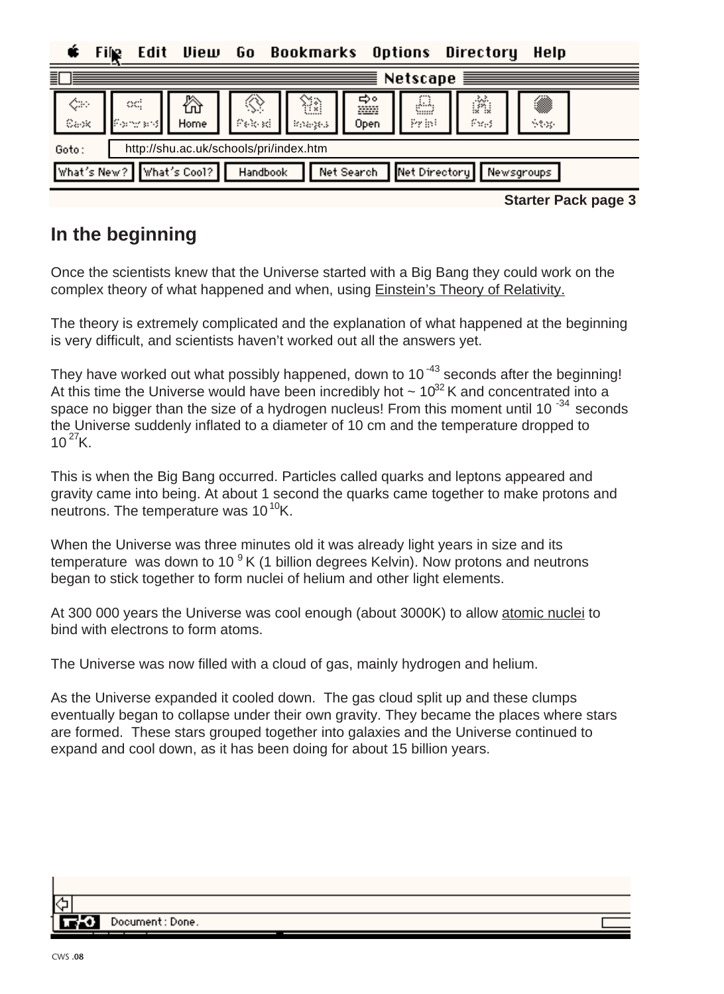Edit View Go. **Bookmarks Options** Directory Help

| 틬 |                                                                                      |                   |           |              |                       |                   | Netscape   | <b>SUBSTANT</b> |            |  |
|---|--------------------------------------------------------------------------------------|-------------------|-----------|--------------|-----------------------|-------------------|------------|-----------------|------------|--|
|   | ¢≈<br>Capk                                                                           | œ<br>a Kong sr⊍li | ⚠<br>Home | ◈<br>Pelosti | ₩<br><b>Broadcast</b> | ⇒∘<br>pop<br>Open | &<br>Print | ñ<br>Pags       | ⋒<br>Stop. |  |
|   | http://shu.ac.uk/schools/pri/index.htm<br>Goto:                                      |                   |           |              |                       |                   |            |                 |            |  |
|   | Net Directory<br>What's New?<br>What's Cool?<br>Net Search<br>Handbook<br>Newsgroups |                   |           |              |                       |                   |            |                 |            |  |

**Starter Pack page 3**

## **In the beginning**

Once the scientists knew that the Universe started with a Big Bang they could work on the complex theory of what happened and when, using Einstein's Theory of Relativity.

The theory is extremely complicated and the explanation of what happened at the beginning is very difficult, and scientists haven't worked out all the answers yet.

They have worked out what possibly happened, down to 10<sup>-43</sup> seconds after the beginning! At this time the Universe would have been incredibly hot  $\sim 10^{32}$  K and concentrated into a space no bigger than the size of a hydrogen nucleus! From this moment until 10<sup>-34</sup> seconds the Universe suddenly inflated to a diameter of 10 cm and the temperature dropped to  $10^{27}$ K.

This is when the Big Bang occurred. Particles called quarks and leptons appeared and gravity came into being. At about 1 second the quarks came together to make protons and neutrons. The temperature was  $10^{10}$ K.

When the Universe was three minutes old it was already light years in size and its temperature was down to 10<sup>9</sup> K (1 billion degrees Kelvin). Now protons and neutrons began to stick together to form nuclei of helium and other light elements.

At 300 000 years the Universe was cool enough (about 3000K) to allow atomic nuclei to bind with electrons to form atoms.

The Universe was now filled with a cloud of gas, mainly hydrogen and helium.

As the Universe expanded it cooled down. The gas cloud split up and these clumps eventually began to collapse under their own gravity. They became the places where stars are formed. These stars grouped together into galaxies and the Universe continued to expand and cool down, as it has been doing for about 15 billion years.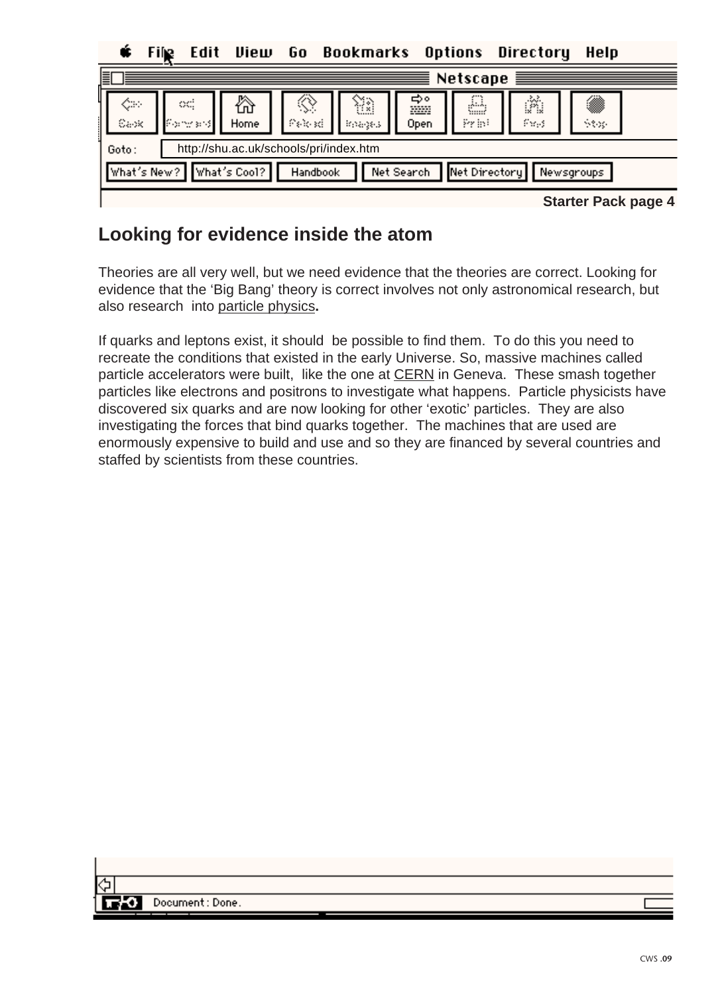**Directory** Edit View 6o **Bookmarks** Options Help File

|    |                                                 |            |                          |           |               |                     |                 | Netscape $\equiv$ |           |                            |  |
|----|-------------------------------------------------|------------|--------------------------|-----------|---------------|---------------------|-----------------|-------------------|-----------|----------------------------|--|
| l. |                                                 | ◇<br>Carlo | œ<br>(Formato)           | ⚠<br>Home | ◈<br>िकोट इसे | Œ<br><b>Boardes</b> | ⇔∘<br>m<br>Open | &<br>Print        | ŵ<br>Pags | ▩<br>See.                  |  |
|    | http://shu.ac.uk/schools/pri/index.htm<br>Goto: |            |                          |           |               |                     |                 |                   |           |                            |  |
|    |                                                 |            | What's New? What's Cool? |           | Handbook      |                     | Net Search      | Net Directory     |           | Newsgroups                 |  |
|    |                                                 |            |                          |           |               |                     |                 |                   |           | <b>Starter Pack page 4</b> |  |

**Starter Pack page 4**

### **Looking for evidence inside the atom**

Theories are all very well, but we need evidence that the theories are correct. Looking for evidence that the 'Big Bang' theory is correct involves not only astronomical research, but also research into particle physics**.**

If quarks and leptons exist, it should be possible to find them. To do this you need to recreate the conditions that existed in the early Universe. So, massive machines called particle accelerators were built, like the one at CERN in Geneva. These smash together particles like electrons and positrons to investigate what happens. Particle physicists have discovered six quarks and are now looking for other 'exotic' particles. They are also investigating the forces that bind quarks together. The machines that are used are enormously expensive to build and use and so they are financed by several countries and staffed by scientists from these countries.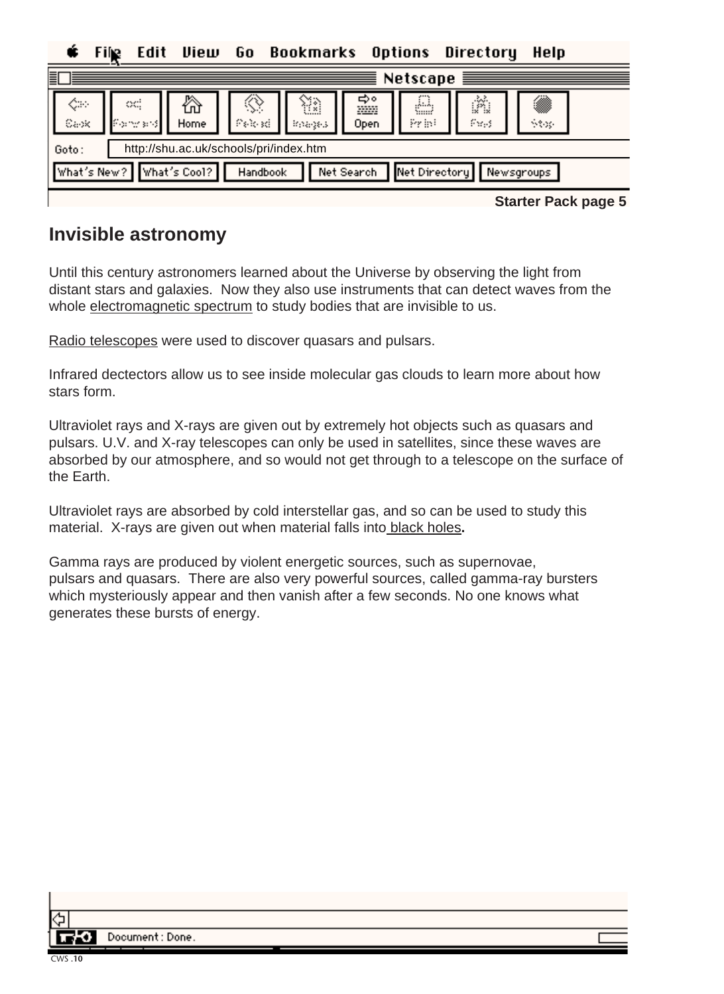Edit View Go. Bookmarks Options Directory Help Fih

| 冒     |           |                           |           |                                        |               |                 |               | Netscape $\equiv$ |                     |  |
|-------|-----------|---------------------------|-----------|----------------------------------------|---------------|-----------------|---------------|-------------------|---------------------|--|
|       | ⇔<br>Capk | od,<br>- Formacet         | ⚠<br>Home | ◈<br>Pelosti                           | Œ<br>Broadges | ⇔∘<br>m<br>Open | A<br>Print    | Ŵ<br>Pags         | ▓<br>Stop-          |  |
| Goto: |           |                           |           | http://shu.ac.uk/schools/pri/index.htm |               |                 |               |                   |                     |  |
|       |           | What's New? NWhat's Cool? |           | Handbook                               |               | Net Search      | Net Directory |                   | Newsgroups          |  |
|       |           |                           |           |                                        |               |                 |               |                   | Starter Pack nane 5 |  |

**Starter Pack page 5**

### **Invisible astronomy**

Until this century astronomers learned about the Universe by observing the light from distant stars and galaxies. Now they also use instruments that can detect waves from the whole electromagnetic spectrum to study bodies that are invisible to us.

Radio telescopes were used to discover quasars and pulsars.

Infrared dectectors allow us to see inside molecular gas clouds to learn more about how stars form.

Ultraviolet rays and X-rays are given out by extremely hot objects such as quasars and pulsars. U.V. and X-ray telescopes can only be used in satellites, since these waves are absorbed by our atmosphere, and so would not get through to a telescope on the surface of the Earth.

Ultraviolet rays are absorbed by cold interstellar gas, and so can be used to study this material. X-rays are given out when material falls into black holes**.**

Gamma rays are produced by violent energetic sources, such as supernovae, pulsars and quasars. There are also very powerful sources, called gamma-ray bursters which mysteriously appear and then vanish after a few seconds. No one knows what generates these bursts of energy.